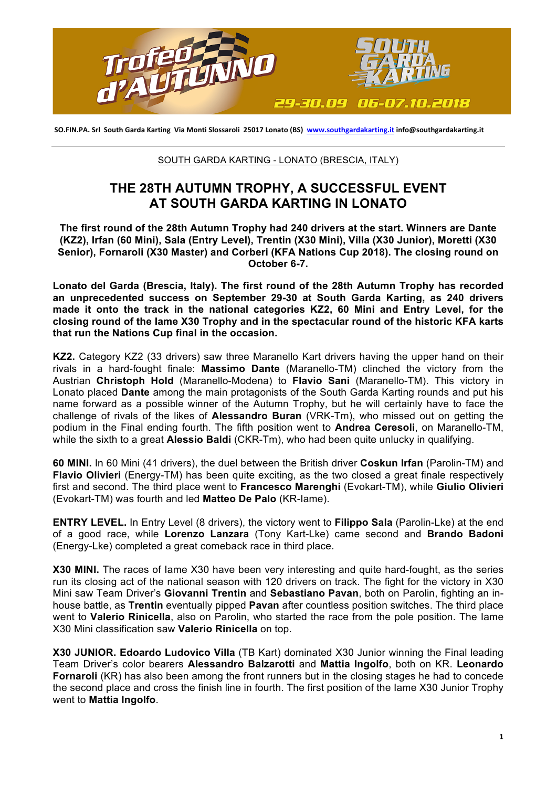

SO.FIN.PA. Srl South Garda Karting Via Monti Slossaroli 25017 Lonato (BS) www.southgardakarting.it info@southgardakarting.it

## SOUTH GARDA KARTING - LONATO (BRESCIA, ITALY)

## **THE 28TH AUTUMN TROPHY, A SUCCESSFUL EVENT AT SOUTH GARDA KARTING IN LONATO**

**The first round of the 28th Autumn Trophy had 240 drivers at the start. Winners are Dante (KZ2), Irfan (60 Mini), Sala (Entry Level), Trentin (X30 Mini), Villa (X30 Junior), Moretti (X30 Senior), Fornaroli (X30 Master) and Corberi (KFA Nations Cup 2018). The closing round on October 6-7.**

**Lonato del Garda (Brescia, Italy). The first round of the 28th Autumn Trophy has recorded an unprecedented success on September 29-30 at South Garda Karting, as 240 drivers made it onto the track in the national categories KZ2, 60 Mini and Entry Level, for the closing round of the Iame X30 Trophy and in the spectacular round of the historic KFA karts that run the Nations Cup final in the occasion.**

**KZ2.** Category KZ2 (33 drivers) saw three Maranello Kart drivers having the upper hand on their rivals in a hard-fought finale: **Massimo Dante** (Maranello-TM) clinched the victory from the Austrian **Christoph Hold** (Maranello-Modena) to **Flavio Sani** (Maranello-TM). This victory in Lonato placed **Dante** among the main protagonists of the South Garda Karting rounds and put his name forward as a possible winner of the Autumn Trophy, but he will certainly have to face the challenge of rivals of the likes of **Alessandro Buran** (VRK-Tm), who missed out on getting the podium in the Final ending fourth. The fifth position went to **Andrea Ceresoli**, on Maranello-TM, while the sixth to a great **Alessio Baldi** (CKR-Tm), who had been quite unlucky in qualifying.

**60 MINI.** In 60 Mini (41 drivers), the duel between the British driver **Coskun Irfan** (Parolin-TM) and **Flavio Olivieri** (Energy-TM) has been quite exciting, as the two closed a great finale respectively first and second. The third place went to **Francesco Marenghi** (Evokart-TM), while **Giulio Olivieri** (Evokart-TM) was fourth and led **Matteo De Palo** (KR-Iame).

**ENTRY LEVEL.** In Entry Level (8 drivers), the victory went to **Filippo Sala** (Parolin-Lke) at the end of a good race, while **Lorenzo Lanzara** (Tony Kart-Lke) came second and **Brando Badoni** (Energy-Lke) completed a great comeback race in third place.

**X30 MINI.** The races of Iame X30 have been very interesting and quite hard-fought, as the series run its closing act of the national season with 120 drivers on track. The fight for the victory in X30 Mini saw Team Driver's **Giovanni Trentin** and **Sebastiano Pavan**, both on Parolin, fighting an inhouse battle, as **Trentin** eventually pipped **Pavan** after countless position switches. The third place went to **Valerio Rinicella**, also on Parolin, who started the race from the pole position. The Iame X30 Mini classification saw **Valerio Rinicella** on top.

**X30 JUNIOR. Edoardo Ludovico Villa** (TB Kart) dominated X30 Junior winning the Final leading Team Driver's color bearers **Alessandro Balzarotti** and **Mattia Ingolfo**, both on KR. **Leonardo Fornaroli** (KR) has also been among the front runners but in the closing stages he had to concede the second place and cross the finish line in fourth. The first position of the Iame X30 Junior Trophy went to **Mattia Ingolfo**.